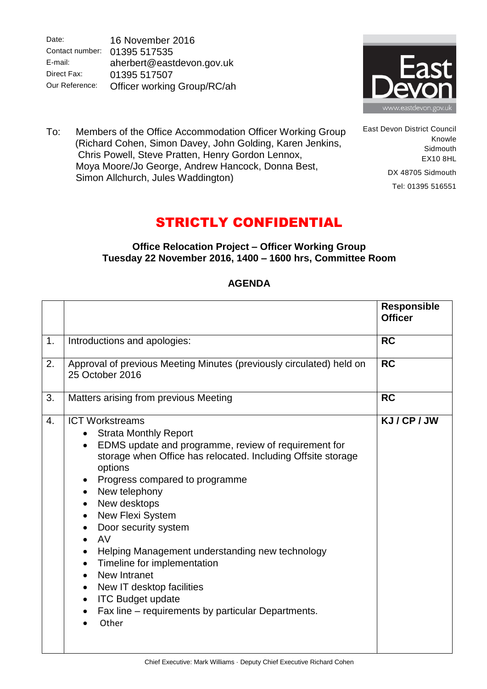Date: Contact number: 01395 517535 E-mail: Direct Fax: Our Reference: 16 November 2016 aherbert@eastdevon.gov.uk 01395 517507 Officer working Group/RC/ah



East Devon District Council

DX 48705 Sidmouth Tel: 01395 516551

Knowle **Sidmouth** EX10 8HL

To: Members of the Office Accommodation Officer Working Group (Richard Cohen, Simon Davey, John Golding, Karen Jenkins, Chris Powell, Steve Pratten, Henry Gordon Lennox, Moya Moore/Jo George, Andrew Hancock, Donna Best, Simon Allchurch, Jules Waddington)

## STRICTLY CONFIDENTIAL

## **Office Relocation Project – Officer Working Group Tuesday 22 November 2016, 1400 – 1600 hrs, Committee Room**

## **Responsible Officer** 1. Introductions and apologies: **RC** 2. Approval of previous Meeting Minutes (previously circulated) held on 25 October 2016 **RC** 3. Matters arising from previous Meeting **RC** 4. **ICT Workstreams** • Strata Monthly Report EDMS update and programme, review of requirement for storage when Office has relocated. Including Offsite storage options • Progress compared to programme • New telephony • New desktops • New Flexi System • Door security system AV Helping Management understanding new technology • Timeline for implementation • New Intranet • New IT desktop facilities • ITC Budget update • Fax line – requirements by particular Departments. Other **KJ / CP / JW**

## **AGENDA**